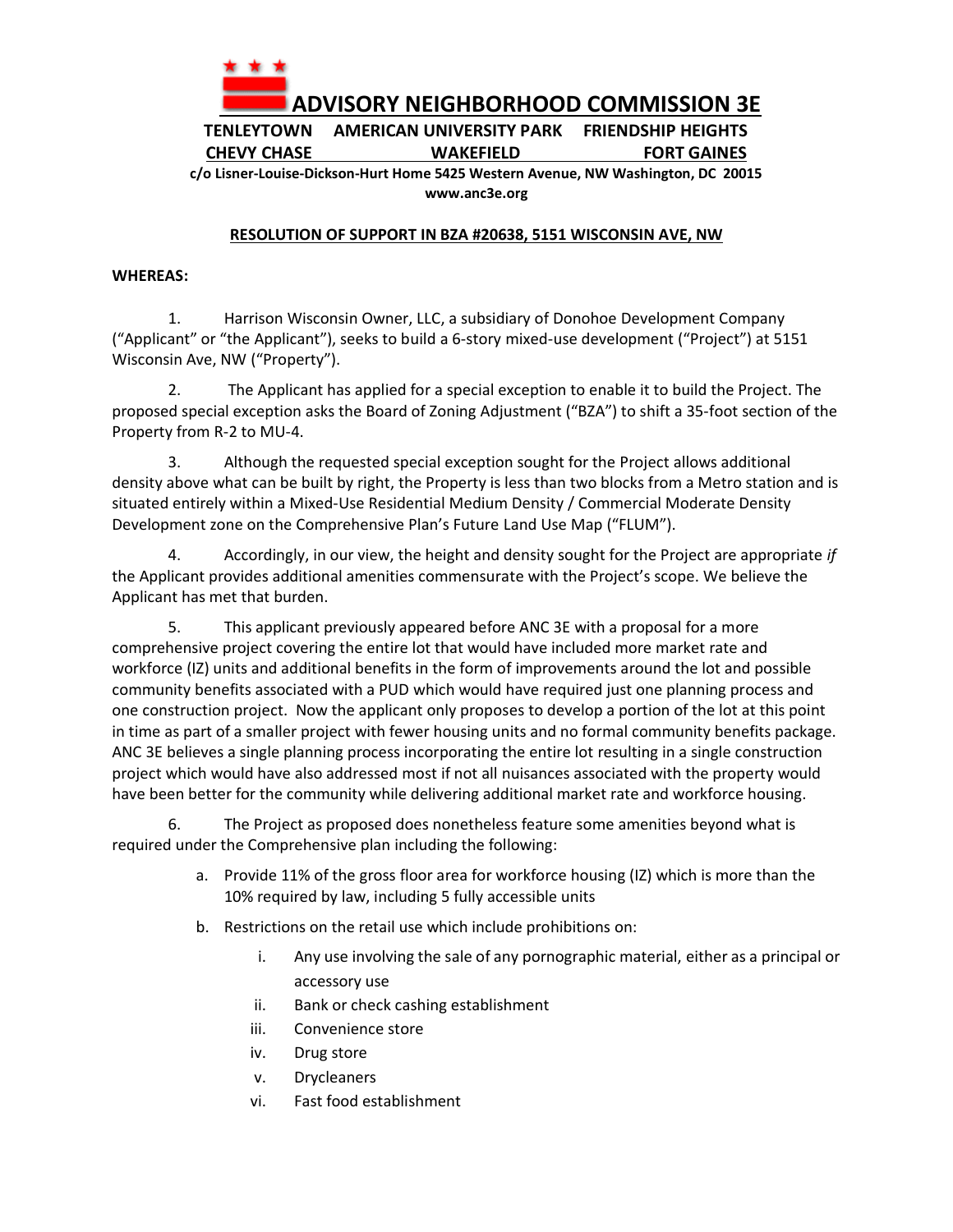

**TENLEYTOWN AMERICAN UNIVERSITY PARK FRIENDSHIP HEIGHTS CHEVY CHASE WAKEFIELD FORT GAINES**

**c/o Lisner-Louise-Dickson-Hurt Home 5425 Western Avenue, NW Washington, DC 20015 www.anc3e.org**

## **RESOLUTION OF SUPPORT IN BZA #20638, 5151 WISCONSIN AVE, NW**

## **WHEREAS:**

1. Harrison Wisconsin Owner, LLC, a subsidiary of Donohoe Development Company ("Applicant" or "the Applicant"), seeks to build a 6-story mixed-use development ("Project") at 5151 Wisconsin Ave, NW ("Property").

2. The Applicant has applied for a special exception to enable it to build the Project. The proposed special exception asks the Board of Zoning Adjustment ("BZA") to shift a 35-foot section of the Property from R-2 to MU-4.

3. Although the requested special exception sought for the Project allows additional density above what can be built by right, the Property is less than two blocks from a Metro station and is situated entirely within a Mixed-Use Residential Medium Density / Commercial Moderate Density Development zone on the Comprehensive Plan's Future Land Use Map ("FLUM").

4. Accordingly, in our view, the height and density sought for the Project are appropriate *if* the Applicant provides additional amenities commensurate with the Project's scope. We believe the Applicant has met that burden.

5. This applicant previously appeared before ANC 3E with a proposal for a more comprehensive project covering the entire lot that would have included more market rate and workforce (IZ) units and additional benefits in the form of improvements around the lot and possible community benefits associated with a PUD which would have required just one planning process and one construction project. Now the applicant only proposes to develop a portion of the lot at this point in time as part of a smaller project with fewer housing units and no formal community benefits package. ANC 3E believes a single planning process incorporating the entire lot resulting in a single construction project which would have also addressed most if not all nuisances associated with the property would have been better for the community while delivering additional market rate and workforce housing.

6. The Project as proposed does nonetheless feature some amenities beyond what is required under the Comprehensive plan including the following:

- a. Provide 11% of the gross floor area for workforce housing (IZ) which is more than the 10% required by law, including 5 fully accessible units
- b. Restrictions on the retail use which include prohibitions on:
	- i. Any use involving the sale of any pornographic material, either as a principal or accessory use
	- ii. Bank or check cashing establishment
	- iii. Convenience store
	- iv. Drug store
	- v. Drycleaners
	- vi. Fast food establishment